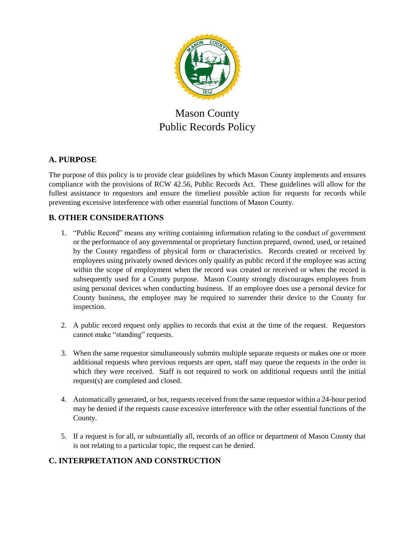

# Mason County Public Records Policy

# **A. PURPOSE**

The purpose of this policy is to provide clear guidelines by which Mason County implements and ensures compliance with the provisions of RCW 42.56, Public Records Act. These guidelines will allow for the fullest assistance to requestors and ensure the timeliest possible action for requests for records while preventing excessive interference with other essential functions of Mason County.

# **B. OTHER CONSIDERATIONS**

- 1. "Public Record" means any writing containing information relating to the conduct of government or the performance of any governmental or proprietary function prepared, owned, used, or retained by the County regardless of physical form or characteristics. Records created or received by employees using privately owned devices only qualify as public record if the employee was acting within the scope of employment when the record was created or received or when the record is subsequently used for a County purpose. Mason County strongly discourages employees from using personal devices when conducting business. If an employee does use a personal device for County business, the employee may be required to surrender their device to the County for inspection.
- 2. A public record request only applies to records that exist at the time of the request. Requestors cannot make "standing" requests.
- 3. When the same requestor simultaneously submits multiple separate requests or makes one or more additional requests when previous requests are open, staff may queue the requests in the order in which they were received. Staff is not required to work on additional requests until the initial request(s) are completed and closed.
- 4. Automatically generated, or bot, requests received from the same requestor within a 24-hour period may be denied if the requests cause excessive interference with the other essential functions of the County.
- 5. If a request is for all, or substantially all, records of an office or department of Mason County that is not relating to a particular topic, the request can be denied.

# **C. INTERPRETATION AND CONSTRUCTION**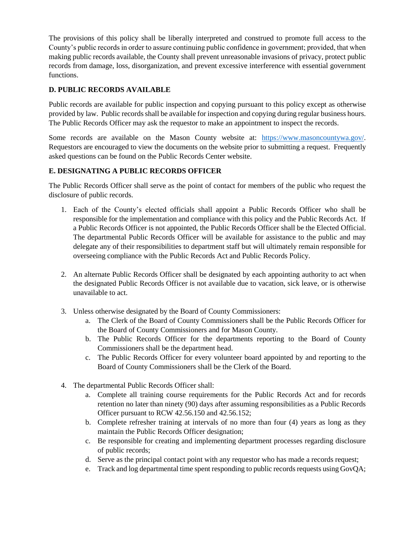The provisions of this policy shall be liberally interpreted and construed to promote full access to the County's public records in order to assure continuing public confidence in government; provided, that when making public records available, the County shall prevent unreasonable invasions of privacy, protect public records from damage, loss, disorganization, and prevent excessive interference with essential government functions.

## **D. PUBLIC RECORDS AVAILABLE**

Public records are available for public inspection and copying pursuant to this policy except as otherwise provided by law. Public records shall be available for inspection and copying during regular business hours. The Public Records Officer may ask the requestor to make an appointment to inspect the records.

Some records are available on the Mason County website at: [https://www.masoncountywa.gov/.](https://www.masoncountywa.gov/) Requestors are encouraged to view the documents on the website prior to submitting a request. Frequently asked questions can be found on the Public Records Center website.

### **E. DESIGNATING A PUBLIC RECORDS OFFICER**

The Public Records Officer shall serve as the point of contact for members of the public who request the disclosure of public records.

- 1. Each of the County's elected officials shall appoint a Public Records Officer who shall be responsible for the implementation and compliance with this policy and the Public Records Act. If a Public Records Officer is not appointed, the Public Records Officer shall be the Elected Official. The departmental Public Records Officer will be available for assistance to the public and may delegate any of their responsibilities to department staff but will ultimately remain responsible for overseeing compliance with the Public Records Act and Public Records Policy.
- 2. An alternate Public Records Officer shall be designated by each appointing authority to act when the designated Public Records Officer is not available due to vacation, sick leave, or is otherwise unavailable to act.
- 3. Unless otherwise designated by the Board of County Commissioners:
	- a. The Clerk of the Board of County Commissioners shall be the Public Records Officer for the Board of County Commissioners and for Mason County.
	- b. The Public Records Officer for the departments reporting to the Board of County Commissioners shall be the department head.
	- c. The Public Records Officer for every volunteer board appointed by and reporting to the Board of County Commissioners shall be the Clerk of the Board.
- 4. The departmental Public Records Officer shall:
	- a. Complete all training course requirements for the Public Records Act and for records retention no later than ninety (90) days after assuming responsibilities as a Public Records Officer pursuant to RCW 42.56.150 and 42.56.152;
	- b. Complete refresher training at intervals of no more than four (4) years as long as they maintain the Public Records Officer designation;
	- c. Be responsible for creating and implementing department processes regarding disclosure of public records;
	- d. Serve as the principal contact point with any requestor who has made a records request;
	- e. Track and log departmental time spent responding to public records requests using GovQA;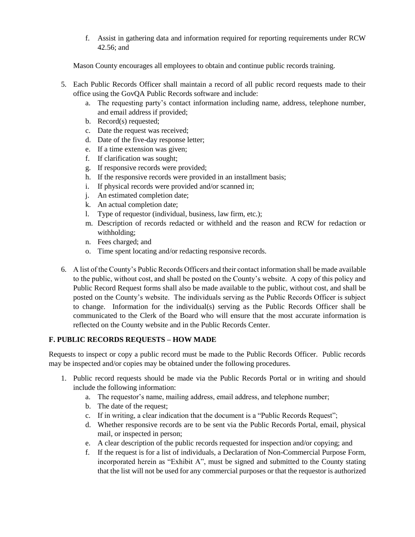f. Assist in gathering data and information required for reporting requirements under RCW 42.56; and

Mason County encourages all employees to obtain and continue public records training.

- 5. Each Public Records Officer shall maintain a record of all public record requests made to their office using the GovQA Public Records software and include:
	- a. The requesting party's contact information including name, address, telephone number, and email address if provided;
	- b. Record(s) requested;
	- c. Date the request was received;
	- d. Date of the five-day response letter;
	- e. If a time extension was given;
	- f. If clarification was sought;
	- g. If responsive records were provided;
	- h. If the responsive records were provided in an installment basis;
	- i. If physical records were provided and/or scanned in;
	- j. An estimated completion date;
	- k. An actual completion date;
	- l. Type of requestor (individual, business, law firm, etc.);
	- m. Description of records redacted or withheld and the reason and RCW for redaction or withholding;
	- n. Fees charged; and
	- o. Time spent locating and/or redacting responsive records.
- 6. A list of the County's Public Records Officers and their contact information shall be made available to the public, without cost, and shall be posted on the County's website. A copy of this policy and Public Record Request forms shall also be made available to the public, without cost, and shall be posted on the County's website. The individuals serving as the Public Records Officer is subject to change. Information for the individual(s) serving as the Public Records Officer shall be communicated to the Clerk of the Board who will ensure that the most accurate information is reflected on the County website and in the Public Records Center.

### **F. PUBLIC RECORDS REQUESTS – HOW MADE**

Requests to inspect or copy a public record must be made to the Public Records Officer. Public records may be inspected and/or copies may be obtained under the following procedures.

- 1. Public record requests should be made via the Public Records Portal or in writing and should include the following information:
	- a. The requestor's name, mailing address, email address, and telephone number;
	- b. The date of the request;
	- c. If in writing, a clear indication that the document is a "Public Records Request";
	- d. Whether responsive records are to be sent via the Public Records Portal, email, physical mail, or inspected in person;
	- e. A clear description of the public records requested for inspection and/or copying; and
	- f. If the request is for a list of individuals, a Declaration of Non-Commercial Purpose Form, incorporated herein as "Exhibit A", must be signed and submitted to the County stating that the list will not be used for any commercial purposes or that the requestor is authorized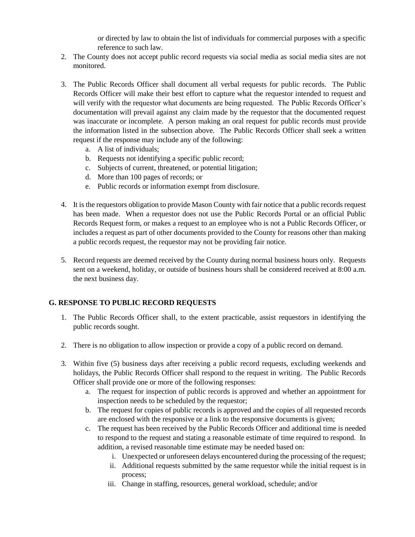or directed by law to obtain the list of individuals for commercial purposes with a specific reference to such law.

- 2. The County does not accept public record requests via social media as social media sites are not monitored.
- 3. The Public Records Officer shall document all verbal requests for public records. The Public Records Officer will make their best effort to capture what the requestor intended to request and will verify with the requestor what documents are being requested. The Public Records Officer's documentation will prevail against any claim made by the requestor that the documented request was inaccurate or incomplete. A person making an oral request for public records must provide the information listed in the subsection above. The Public Records Officer shall seek a written request if the response may include any of the following:
	- a. A list of individuals;
	- b. Requests not identifying a specific public record;
	- c. Subjects of current, threatened, or potential litigation;
	- d. More than 100 pages of records; or
	- e. Public records or information exempt from disclosure.
- 4. It is the requestors obligation to provide Mason County with fair notice that a public records request has been made. When a requestor does not use the Public Records Portal or an official Public Records Request form, or makes a request to an employee who is not a Public Records Officer, or includes a request as part of other documents provided to the County for reasons other than making a public records request, the requestor may not be providing fair notice.
- 5. Record requests are deemed received by the County during normal business hours only. Requests sent on a weekend, holiday, or outside of business hours shall be considered received at 8:00 a.m. the next business day.

### **G. RESPONSE TO PUBLIC RECORD REQUESTS**

- 1. The Public Records Officer shall, to the extent practicable, assist requestors in identifying the public records sought.
- 2. There is no obligation to allow inspection or provide a copy of a public record on demand.
- 3. Within five (5) business days after receiving a public record requests, excluding weekends and holidays, the Public Records Officer shall respond to the request in writing. The Public Records Officer shall provide one or more of the following responses:
	- a. The request for inspection of public records is approved and whether an appointment for inspection needs to be scheduled by the requestor;
	- b. The request for copies of public records is approved and the copies of all requested records are enclosed with the responsive or a link to the responsive documents is given;
	- c. The request has been received by the Public Records Officer and additional time is needed to respond to the request and stating a reasonable estimate of time required to respond. In addition, a revised reasonable time estimate may be needed based on:
		- i. Unexpected or unforeseen delays encountered during the processing of the request;
		- ii. Additional requests submitted by the same requestor while the initial request is in process;
		- iii. Change in staffing, resources, general workload, schedule; and/or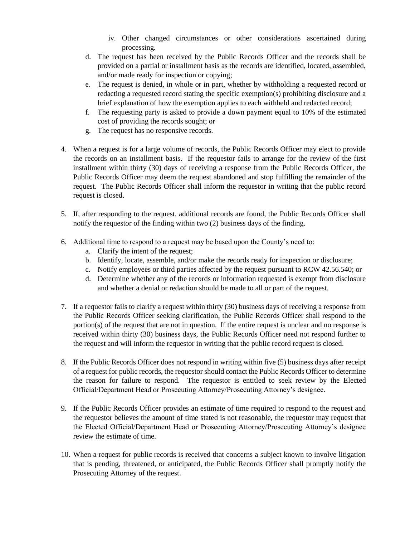- iv. Other changed circumstances or other considerations ascertained during processing.
- d. The request has been received by the Public Records Officer and the records shall be provided on a partial or installment basis as the records are identified, located, assembled, and/or made ready for inspection or copying;
- e. The request is denied, in whole or in part, whether by withholding a requested record or redacting a requested record stating the specific exemption(s) prohibiting disclosure and a brief explanation of how the exemption applies to each withheld and redacted record;
- f. The requesting party is asked to provide a down payment equal to 10% of the estimated cost of providing the records sought; or
- g. The request has no responsive records.
- 4. When a request is for a large volume of records, the Public Records Officer may elect to provide the records on an installment basis. If the requestor fails to arrange for the review of the first installment within thirty (30) days of receiving a response from the Public Records Officer, the Public Records Officer may deem the request abandoned and stop fulfilling the remainder of the request. The Public Records Officer shall inform the requestor in writing that the public record request is closed.
- 5. If, after responding to the request, additional records are found, the Public Records Officer shall notify the requestor of the finding within two (2) business days of the finding.
- 6. Additional time to respond to a request may be based upon the County's need to:
	- a. Clarify the intent of the request;
	- b. Identify, locate, assemble, and/or make the records ready for inspection or disclosure;
	- c. Notify employees or third parties affected by the request pursuant to RCW 42.56.540; or
	- d. Determine whether any of the records or information requested is exempt from disclosure and whether a denial or redaction should be made to all or part of the request.
- 7. If a requestor fails to clarify a request within thirty (30) business days of receiving a response from the Public Records Officer seeking clarification, the Public Records Officer shall respond to the portion(s) of the request that are not in question. If the entire request is unclear and no response is received within thirty (30) business days, the Public Records Officer need not respond further to the request and will inform the requestor in writing that the public record request is closed.
- 8. If the Public Records Officer does not respond in writing within five (5) business days after receipt of a request for public records, the requestor should contact the Public Records Officer to determine the reason for failure to respond. The requestor is entitled to seek review by the Elected Official/Department Head or Prosecuting Attorney/Prosecuting Attorney's designee.
- 9. If the Public Records Officer provides an estimate of time required to respond to the request and the requestor believes the amount of time stated is not reasonable, the requestor may request that the Elected Official/Department Head or Prosecuting Attorney/Prosecuting Attorney's designee review the estimate of time.
- 10. When a request for public records is received that concerns a subject known to involve litigation that is pending, threatened, or anticipated, the Public Records Officer shall promptly notify the Prosecuting Attorney of the request.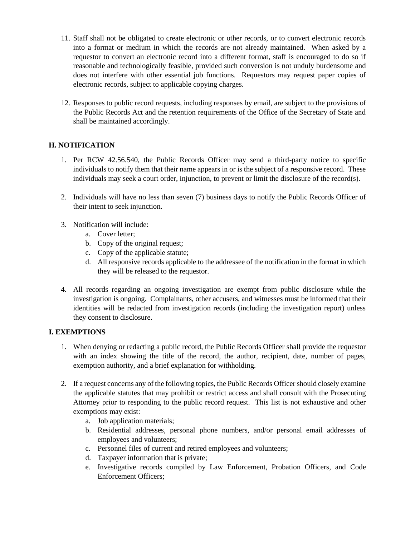- 11. Staff shall not be obligated to create electronic or other records, or to convert electronic records into a format or medium in which the records are not already maintained. When asked by a requestor to convert an electronic record into a different format, staff is encouraged to do so if reasonable and technologically feasible, provided such conversion is not unduly burdensome and does not interfere with other essential job functions. Requestors may request paper copies of electronic records, subject to applicable copying charges.
- 12. Responses to public record requests, including responses by email, are subject to the provisions of the Public Records Act and the retention requirements of the Office of the Secretary of State and shall be maintained accordingly.

## **H. NOTIFICATION**

- 1. Per RCW 42.56.540, the Public Records Officer may send a third-party notice to specific individuals to notify them that their name appears in or is the subject of a responsive record. These individuals may seek a court order, injunction, to prevent or limit the disclosure of the record(s).
- 2. Individuals will have no less than seven (7) business days to notify the Public Records Officer of their intent to seek injunction.
- 3. Notification will include:
	- a. Cover letter;
	- b. Copy of the original request;
	- c. Copy of the applicable statute;
	- d. All responsive records applicable to the addressee of the notification in the format in which they will be released to the requestor.
- 4. All records regarding an ongoing investigation are exempt from public disclosure while the investigation is ongoing. Complainants, other accusers, and witnesses must be informed that their identities will be redacted from investigation records (including the investigation report) unless they consent to disclosure.

### **I. EXEMPTIONS**

- 1. When denying or redacting a public record, the Public Records Officer shall provide the requestor with an index showing the title of the record, the author, recipient, date, number of pages, exemption authority, and a brief explanation for withholding.
- 2. If a request concerns any of the following topics, the Public Records Officer should closely examine the applicable statutes that may prohibit or restrict access and shall consult with the Prosecuting Attorney prior to responding to the public record request. This list is not exhaustive and other exemptions may exist:
	- a. Job application materials;
	- b. Residential addresses, personal phone numbers, and/or personal email addresses of employees and volunteers;
	- c. Personnel files of current and retired employees and volunteers;
	- d. Taxpayer information that is private;
	- e. Investigative records compiled by Law Enforcement, Probation Officers, and Code Enforcement Officers;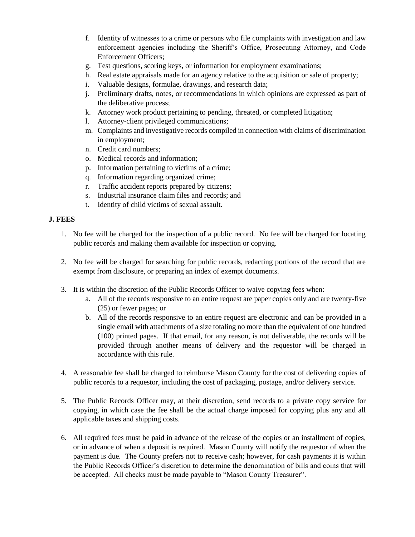- f. Identity of witnesses to a crime or persons who file complaints with investigation and law enforcement agencies including the Sheriff's Office, Prosecuting Attorney, and Code Enforcement Officers;
- g. Test questions, scoring keys, or information for employment examinations;
- h. Real estate appraisals made for an agency relative to the acquisition or sale of property;
- i. Valuable designs, formulae, drawings, and research data;
- j. Preliminary drafts, notes, or recommendations in which opinions are expressed as part of the deliberative process;
- k. Attorney work product pertaining to pending, threated, or completed litigation;
- l. Attorney-client privileged communications;
- m. Complaints and investigative records compiled in connection with claims of discrimination in employment;
- n. Credit card numbers;
- o. Medical records and information;
- p. Information pertaining to victims of a crime;
- q. Information regarding organized crime;
- r. Traffic accident reports prepared by citizens;
- s. Industrial insurance claim files and records; and
- t. Identity of child victims of sexual assault.

#### **J. FEES**

- 1. No fee will be charged for the inspection of a public record. No fee will be charged for locating public records and making them available for inspection or copying.
- 2. No fee will be charged for searching for public records, redacting portions of the record that are exempt from disclosure, or preparing an index of exempt documents.
- 3. It is within the discretion of the Public Records Officer to waive copying fees when:
	- a. All of the records responsive to an entire request are paper copies only and are twenty-five (25) or fewer pages; or
	- b. All of the records responsive to an entire request are electronic and can be provided in a single email with attachments of a size totaling no more than the equivalent of one hundred (100) printed pages. If that email, for any reason, is not deliverable, the records will be provided through another means of delivery and the requestor will be charged in accordance with this rule.
- 4. A reasonable fee shall be charged to reimburse Mason County for the cost of delivering copies of public records to a requestor, including the cost of packaging, postage, and/or delivery service.
- 5. The Public Records Officer may, at their discretion, send records to a private copy service for copying, in which case the fee shall be the actual charge imposed for copying plus any and all applicable taxes and shipping costs.
- 6. All required fees must be paid in advance of the release of the copies or an installment of copies, or in advance of when a deposit is required. Mason County will notify the requestor of when the payment is due. The County prefers not to receive cash; however, for cash payments it is within the Public Records Officer's discretion to determine the denomination of bills and coins that will be accepted. All checks must be made payable to "Mason County Treasurer".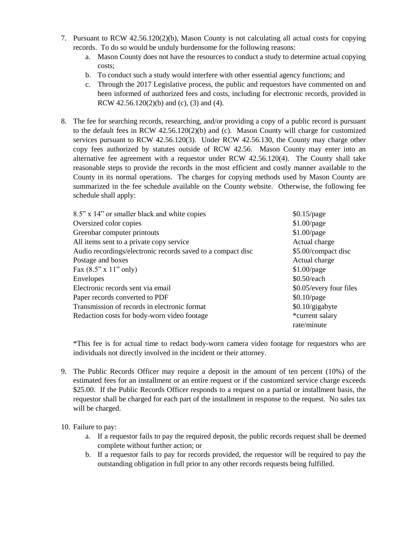- 7. Pursuant to RCW 42.56.120(2)(b), Mason County is not calculating all actual costs for copying records. To do so would be unduly burdensome for the following reasons:
	- a. Mason County does not have the resources to conduct a study to determine actual copying costs;
	- b. To conduct such a study would interfere with other essential agency functions; and
	- c. Through the 2017 Legislative process, the public and requestors have commented on and been informed of authorized fees and costs, including for electronic records, provided in RCW 42.56.120(2)(b) and (c), (3) and (4).
- 8. The fee for searching records, researching, and/or providing a copy of a public record is pursuant to the default fees in RCW 42.56.120(2)(b) and (c). Mason County will charge for customized services pursuant to RCW 42.56.120(3). Under RCW 42.56.130, the County may charge other copy fees authorized by statutes outside of RCW 42.56. Mason County may enter into an alternative fee agreement with a requestor under RCW 42.56.120(4). The County shall take reasonable steps to provide the records in the most efficient and costly manner available to the County in its normal operations. The charges for copying methods used by Mason County are summarized in the fee schedule available on the County website. Otherwise, the following fee schedule shall apply:

| 8.5" x 14" or smaller black and white copies                | $$0.15$ /page           |
|-------------------------------------------------------------|-------------------------|
| Oversized color copies                                      | $$1.00$ /page           |
| Greenbar computer printouts                                 | $$1.00$ /page           |
| All items sent to a private copy service                    | Actual charge           |
| Audio recordings/electronic records saved to a compact disc | \$5.00/compact disc     |
| Postage and boxes                                           | Actual charge           |
| Fax $(8.5" \times 11"$ only)                                | $$1.00$ /page           |
| Envelopes                                                   | \$0.50/each             |
| Electronic records sent via email                           | \$0.05/every four files |
| Paper records converted to PDF                              | $$0.10$ /page           |
| Transmission of records in electronic format                | $$0.10$ /gigabyte       |
| Redaction costs for body-worn video footage                 | *current salary         |
|                                                             | rate/minute             |

\*This fee is for actual time to redact body-worn camera video footage for requestors who are individuals not directly involved in the incident or their attorney.

9. The Public Records Officer may require a deposit in the amount of ten percent (10%) of the estimated fees for an installment or an entire request or if the customized service charge exceeds \$25.00. If the Public Records Officer responds to a request on a partial or installment basis, the requestor shall be charged for each part of the installment in response to the request. No sales tax will be charged.

#### 10. Failure to pay:

- a. If a requestor fails to pay the required deposit, the public records request shall be deemed complete without further action; or
- b. If a requestor fails to pay for records provided, the requestor will be required to pay the outstanding obligation in full prior to any other records requests being fulfilled.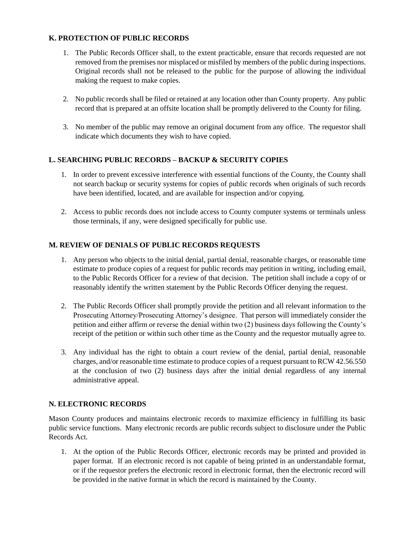#### **K. PROTECTION OF PUBLIC RECORDS**

- 1. The Public Records Officer shall, to the extent practicable, ensure that records requested are not removed from the premises nor misplaced or misfiled by members of the public during inspections. Original records shall not be released to the public for the purpose of allowing the individual making the request to make copies.
- 2. No public records shall be filed or retained at any location other than County property. Any public record that is prepared at an offsite location shall be promptly delivered to the County for filing.
- 3. No member of the public may remove an original document from any office. The requestor shall indicate which documents they wish to have copied.

## **L. SEARCHING PUBLIC RECORDS – BACKUP & SECURITY COPIES**

- 1. In order to prevent excessive interference with essential functions of the County, the County shall not search backup or security systems for copies of public records when originals of such records have been identified, located, and are available for inspection and/or copying.
- 2. Access to public records does not include access to County computer systems or terminals unless those terminals, if any, were designed specifically for public use.

### **M. REVIEW OF DENIALS OF PUBLIC RECORDS REQUESTS**

- 1. Any person who objects to the initial denial, partial denial, reasonable charges, or reasonable time estimate to produce copies of a request for public records may petition in writing, including email, to the Public Records Officer for a review of that decision. The petition shall include a copy of or reasonably identify the written statement by the Public Records Officer denying the request.
- 2. The Public Records Officer shall promptly provide the petition and all relevant information to the Prosecuting Attorney/Prosecuting Attorney's designee. That person will immediately consider the petition and either affirm or reverse the denial within two (2) business days following the County's receipt of the petition or within such other time as the County and the requestor mutually agree to.
- 3. Any individual has the right to obtain a court review of the denial, partial denial, reasonable charges, and/or reasonable time estimate to produce copies of a request pursuant to RCW 42.56.550 at the conclusion of two (2) business days after the initial denial regardless of any internal administrative appeal.

### **N. ELECTRONIC RECORDS**

Mason County produces and maintains electronic records to maximize efficiency in fulfilling its basic public service functions. Many electronic records are public records subject to disclosure under the Public Records Act.

1. At the option of the Public Records Officer, electronic records may be printed and provided in paper format. If an electronic record is not capable of being printed in an understandable format, or if the requestor prefers the electronic record in electronic format, then the electronic record will be provided in the native format in which the record is maintained by the County.